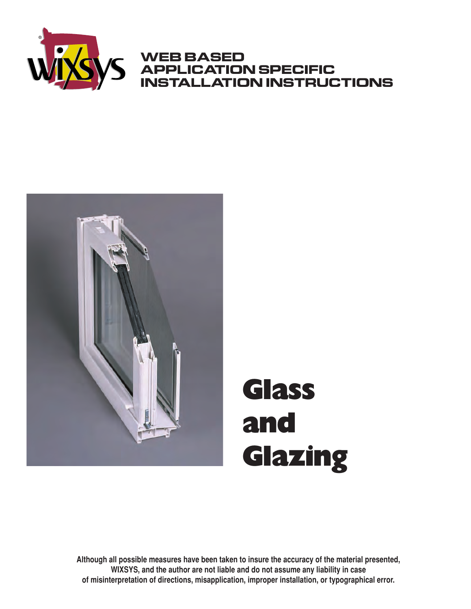

### **WEB BASED APPLICATION SPECIFIC INSTALLATION INSTRUCTIONS**



# **Glass and Glazing**

**Although all possible measures have been taken to insure the accuracy of the material presented, WIXSYS, and the author are not liable and do not assume any liability in case of misinterpretation of directions, misapplication, improper installation, or typographical error.**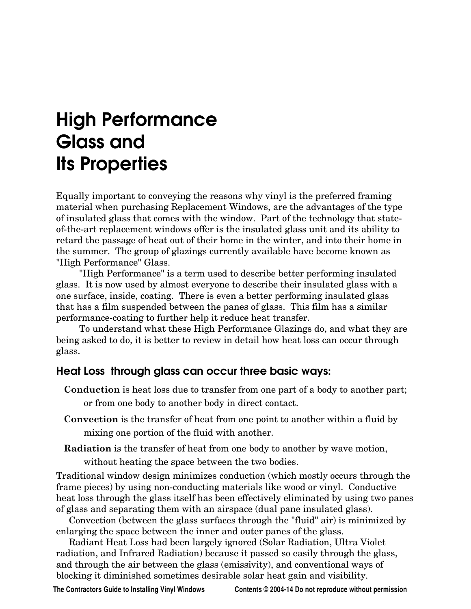## High Performance Glass and<br>Ite Dronarti Its Properties

Equally important to conveying the reasons why vinyl is the preferred framing material when purchasing Replacement Windows, are the advantages of the type of insulated glass that comes with the window. Part of the technology that stateof-the-art replacement windows offer is the insulated glass unit and its ability to retard the passage of heat out of their home in the winter, and into their home in the summer. The group of glazings currently available have become known as "High Performance" Glass.

"High Performance" is a term used to describe better performing insulated glass. It is now used by almost everyone to describe their insulated glass with a one surface, inside, coating. There is even a better performing insulated glass that has a film suspended between the panes of glass. This film has a similar performance-coating to further help it reduce heat transfer.

To understand what these High Performance Glazings do, and what they are being asked to do, it is better to review in detail how heat loss can occur through glass.

### Heat Loss through glass can occur three basic ways:

- **Conduction** is heat loss due to transfer from one part of a body to another part; or from one body to another body in direct contact.
- **Convection** is the transfer of heat from one point to another within a fluid by mixing one portion of the fluid with another.
- **Radiation** is the transfer of heat from one body to another by wave motion,

without heating the space between the two bodies.

Traditional window design minimizes conduction (which mostly occurs through the frame pieces) by using non-conducting materials like wood or vinyl. Conductive heat loss through the glass itself has been effectively eliminated by using two panes of glass and separating them with an airspace (dual pane insulated glass).

Convection (between the glass surfaces through the "fluid" air) is minimized by enlarging the space between the inner and outer panes of the glass.

Radiant Heat Loss had been largely ignored (Solar Radiation, Ultra Violet radiation, and Infrared Radiation) because it passed so easily through the glass, and through the air between the glass (emissivity), and conventional ways of blocking it diminished sometimes desirable solar heat gain and visibility.

**The Contractors Guide to Installing Vinyl Windows Contents © 2004-14 Do not reproduce without permission**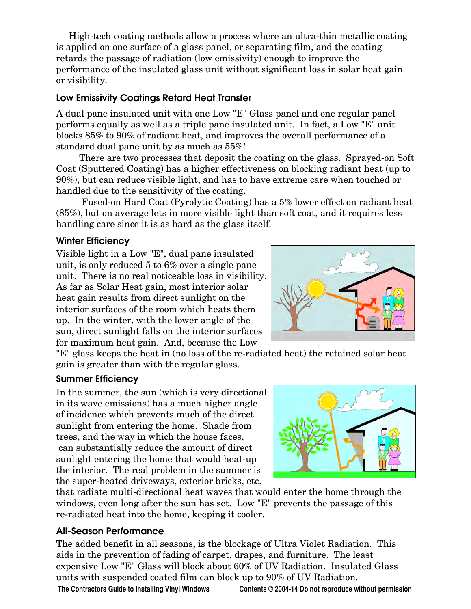High-tech coating methods allow a process where an ultra-thin metallic coating is applied on one surface of a glass panel, or separating film, and the coating retards the passage of radiation (low emissivity) enough to improve the performance of the insulated glass unit without significant loss in solar heat gain or visibility.

### Low Emissivity Coatings Retard Heat Transfer

A dual pane insulated unit with one Low "E" Glass panel and one regular panel performs equally as well as a triple pane insulated unit. In fact, a Low "E" unit blocks 85% to 90% of radiant heat, and improves the overall performance of a standard dual pane unit by as much as 55%!

There are two processes that deposit the coating on the glass. Sprayed-on Soft Coat (Sputtered Coating) has a higher effectiveness on blocking radiant heat (up to 90%), but can reduce visible light, and has to have extreme care when touched or handled due to the sensitivity of the coating.

Fused-on Hard Coat (Pyrolytic Coating) has a 5% lower effect on radiant heat (85%), but on average lets in more visible light than soft coat, and it requires less handling care since it is as hard as the glass itself.

where **Efficiency**<br>Visible light in a Low "E", dual pane insulated unit, is only reduced 5 to 6% over a single pane unit. There is no real noticeable loss in visibility. As far as Solar Heat gain, most interior solar heat gain results from direct sunlight on the interior surfaces of the room which heats them up. In the winter, with the lower angle of the sun, direct sunlight falls on the interior surfaces for maximum heat gain. And, because the Low

"E" glass keeps the heat in (no loss of the re-radiated heat) the retained solar heat gain is greater than with the regular glass.

 $\frac{1}{\sqrt{2}}$ In the summer, the sun (which is very directional in its wave emissions) has a much higher angle of incidence which prevents much of the direct sunlight from entering the home. Shade from trees, and the way in which the house faces, can substantially reduce the amount of direct sunlight entering the home that would heat-up the interior. The real problem in the summer is the super-heated driveways, exterior bricks, etc.



that radiate multi-directional heat waves that would enter the home through the windows, even long after the sun has set. Low "E" prevents the passage of this re-radiated heat into the home, keeping it cooler.

All-Season Performance The added benefit in all seasons, is the blockage of Ultra Violet Radiation. This aids in the prevention of fading of carpet, drapes, and furniture. The least expensive Low "E" Glass will block about 60% of UV Radiation. Insulated Glass units with suspended coated film can block up to 90% of UV Radiation.

**The Contractors Guide to Installing Vinyl Windows Contents © 2004-14 Do not reproduce without permission**

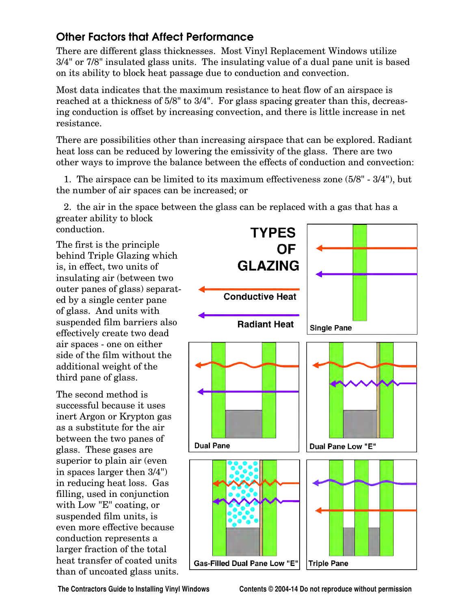Other Factors that Affect Performance<br>There are different glass thicknesses. Most Vinyl Replacement Windows utilize 3/4" or 7/8" insulated glass units. The insulating value of a dual pane unit is based on its ability to block heat passage due to conduction and convection.

Most data indicates that the maximum resistance to heat flow of an airspace is reached at a thickness of 5/8" to 3/4". For glass spacing greater than this, decreasing conduction is offset by increasing convection, and there is little increase in net resistance.

There are possibilities other than increasing airspace that can be explored. Radiant heat loss can be reduced by lowering the emissivity of the glass. There are two other ways to improve the balance between the effects of conduction and convection:

1. The airspace can be limited to its maximum effectiveness zone (5/8" - 3/4"), but the number of air spaces can be increased; or

2. the air in the space between the glass can be replaced with a gas that has a greater ability to block conduction.

The first is the principle behind Triple Glazing which is, in effect, two units of insulating air (between two outer panes of glass) separated by a single center pane of glass. And units with suspended film barriers also effectively create two dead air spaces - one on either side of the film without the additional weight of the third pane of glass.

The second method is successful because it uses inert Argon or Krypton gas as a substitute for the air between the two panes of glass. These gases are superior to plain air (even in spaces larger then 3/4") in reducing heat loss. Gas filling, used in conjunction with Low "E" coating, or suspended film units, is even more effective because conduction represents a larger fraction of the total heat transfer of coated units than of uncoated glass units.